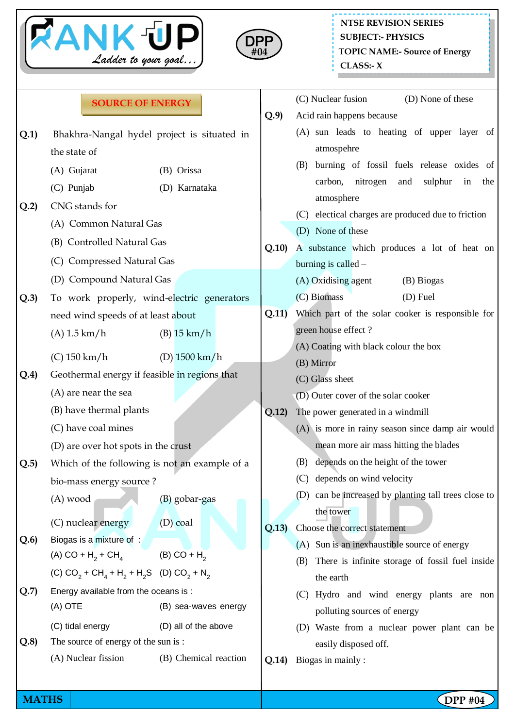



(C) Nuclear fusion (D) None of these

|  | <b>SOURCE OF ENERGY</b> |
|--|-------------------------|
|--|-------------------------|

|                                    | Bhakhra-Nangal hydel project is situated in                                                                                                                                  |                                                                                                                                                                                                                                                                                                                                                                                                                                                                                                                                                                                                                                                                    | (A) sun leads to heating of upper layer of                                                |  |  |
|------------------------------------|------------------------------------------------------------------------------------------------------------------------------------------------------------------------------|--------------------------------------------------------------------------------------------------------------------------------------------------------------------------------------------------------------------------------------------------------------------------------------------------------------------------------------------------------------------------------------------------------------------------------------------------------------------------------------------------------------------------------------------------------------------------------------------------------------------------------------------------------------------|-------------------------------------------------------------------------------------------|--|--|
| the state of                       |                                                                                                                                                                              |                                                                                                                                                                                                                                                                                                                                                                                                                                                                                                                                                                                                                                                                    | atmospehre                                                                                |  |  |
| (A) Gujarat                        | (B) Orissa                                                                                                                                                                   |                                                                                                                                                                                                                                                                                                                                                                                                                                                                                                                                                                                                                                                                    | burning of fossil fuels release oxides of<br>(B)                                          |  |  |
| (C) Punjab                         | (D) Karnataka                                                                                                                                                                |                                                                                                                                                                                                                                                                                                                                                                                                                                                                                                                                                                                                                                                                    | carbon,<br>nitrogen<br>sulphur<br>in<br>the<br>and                                        |  |  |
| CNG stands for                     |                                                                                                                                                                              |                                                                                                                                                                                                                                                                                                                                                                                                                                                                                                                                                                                                                                                                    | atmosphere                                                                                |  |  |
| (A) Common Natural Gas             |                                                                                                                                                                              |                                                                                                                                                                                                                                                                                                                                                                                                                                                                                                                                                                                                                                                                    | (C) electical charges are produced due to friction<br>(D) None of these                   |  |  |
| (B) Controlled Natural Gas         |                                                                                                                                                                              |                                                                                                                                                                                                                                                                                                                                                                                                                                                                                                                                                                                                                                                                    | A substance which produces a lot of heat on                                               |  |  |
| (C) Compressed Natural Gas         |                                                                                                                                                                              |                                                                                                                                                                                                                                                                                                                                                                                                                                                                                                                                                                                                                                                                    | burning is called -                                                                       |  |  |
|                                    |                                                                                                                                                                              |                                                                                                                                                                                                                                                                                                                                                                                                                                                                                                                                                                                                                                                                    | (A) Oxidising agent<br>(B) Biogas                                                         |  |  |
|                                    |                                                                                                                                                                              |                                                                                                                                                                                                                                                                                                                                                                                                                                                                                                                                                                                                                                                                    | (C) Biomass<br>$(D)$ Fuel                                                                 |  |  |
| need wind speeds of at least about |                                                                                                                                                                              |                                                                                                                                                                                                                                                                                                                                                                                                                                                                                                                                                                                                                                                                    | Which part of the solar cooker is responsible for                                         |  |  |
| $(A)$ 1.5 km/h                     | $(B)$ 15 km/h                                                                                                                                                                |                                                                                                                                                                                                                                                                                                                                                                                                                                                                                                                                                                                                                                                                    | green house effect?                                                                       |  |  |
|                                    |                                                                                                                                                                              |                                                                                                                                                                                                                                                                                                                                                                                                                                                                                                                                                                                                                                                                    | (A) Coating with black colour the box                                                     |  |  |
|                                    |                                                                                                                                                                              |                                                                                                                                                                                                                                                                                                                                                                                                                                                                                                                                                                                                                                                                    | (B) Mirror                                                                                |  |  |
|                                    |                                                                                                                                                                              |                                                                                                                                                                                                                                                                                                                                                                                                                                                                                                                                                                                                                                                                    | (C) Glass sheet                                                                           |  |  |
|                                    |                                                                                                                                                                              |                                                                                                                                                                                                                                                                                                                                                                                                                                                                                                                                                                                                                                                                    | (D) Outer cover of the solar cooker                                                       |  |  |
|                                    |                                                                                                                                                                              |                                                                                                                                                                                                                                                                                                                                                                                                                                                                                                                                                                                                                                                                    | The power generated in a windmill                                                         |  |  |
|                                    |                                                                                                                                                                              |                                                                                                                                                                                                                                                                                                                                                                                                                                                                                                                                                                                                                                                                    | (A) is more in rainy season since damp air would<br>mean more air mass hitting the blades |  |  |
|                                    |                                                                                                                                                                              |                                                                                                                                                                                                                                                                                                                                                                                                                                                                                                                                                                                                                                                                    | depends on the height of the tower<br>(B)                                                 |  |  |
|                                    |                                                                                                                                                                              |                                                                                                                                                                                                                                                                                                                                                                                                                                                                                                                                                                                                                                                                    | depends on wind velocity<br>(C)                                                           |  |  |
|                                    |                                                                                                                                                                              |                                                                                                                                                                                                                                                                                                                                                                                                                                                                                                                                                                                                                                                                    | (D) can be increased by planting tall trees close to                                      |  |  |
|                                    |                                                                                                                                                                              |                                                                                                                                                                                                                                                                                                                                                                                                                                                                                                                                                                                                                                                                    | the tower                                                                                 |  |  |
| (C) nuclear energy                 |                                                                                                                                                                              | Q.13)                                                                                                                                                                                                                                                                                                                                                                                                                                                                                                                                                                                                                                                              | Choose the correct statement                                                              |  |  |
|                                    |                                                                                                                                                                              |                                                                                                                                                                                                                                                                                                                                                                                                                                                                                                                                                                                                                                                                    | (A) Sun is an inexhaustible source of energy                                              |  |  |
|                                    |                                                                                                                                                                              |                                                                                                                                                                                                                                                                                                                                                                                                                                                                                                                                                                                                                                                                    | There is infinite storage of fossil fuel inside<br>(B)                                    |  |  |
|                                    |                                                                                                                                                                              |                                                                                                                                                                                                                                                                                                                                                                                                                                                                                                                                                                                                                                                                    | the earth                                                                                 |  |  |
|                                    |                                                                                                                                                                              |                                                                                                                                                                                                                                                                                                                                                                                                                                                                                                                                                                                                                                                                    | (C) Hydro and wind energy plants are non                                                  |  |  |
|                                    |                                                                                                                                                                              |                                                                                                                                                                                                                                                                                                                                                                                                                                                                                                                                                                                                                                                                    | polluting sources of energy                                                               |  |  |
|                                    |                                                                                                                                                                              |                                                                                                                                                                                                                                                                                                                                                                                                                                                                                                                                                                                                                                                                    | (D) Waste from a nuclear power plant can be                                               |  |  |
|                                    |                                                                                                                                                                              |                                                                                                                                                                                                                                                                                                                                                                                                                                                                                                                                                                                                                                                                    | easily disposed off.<br>Biogas in mainly:                                                 |  |  |
|                                    | $(C)$ 150 km/h<br>(A) are near the sea<br>(B) have thermal plants<br>(C) have coal mines<br>Biogas is a mixture of :<br>$(A)$ OTE<br>(C) tidal energy<br>(A) Nuclear fission | (D) Compound Natural Gas<br>To work properly, wind-electric generators<br>(D) $1500 \text{ km/h}$<br>Geothermal energy if feasible in regions that<br>(D) are over hot spots in the crust<br>Which of the following is not an example of a<br>bio-mass energy source?<br>$(A)$ wood<br>(B) gobar-gas<br>$(D)$ coal<br>(A) CO + H <sub>2</sub> + CH <sub>4</sub> (B) CO + H <sub>2</sub><br>(C) CO <sub>2</sub> + CH <sub>4</sub> + H <sub>2</sub> + H <sub>2</sub> S (D) CO <sub>2</sub> + N <sub>2</sub><br>Energy available from the oceans is :<br>(B) sea-waves energy<br>(D) all of the above<br>The source of energy of the sun is:<br>(B) Chemical reaction | Q.10<br>Q.11)<br>Q.12)<br>Q.14)                                                           |  |  |

**MATHS** | **Company in the company of the company in the company of the company of**  $\blacksquare$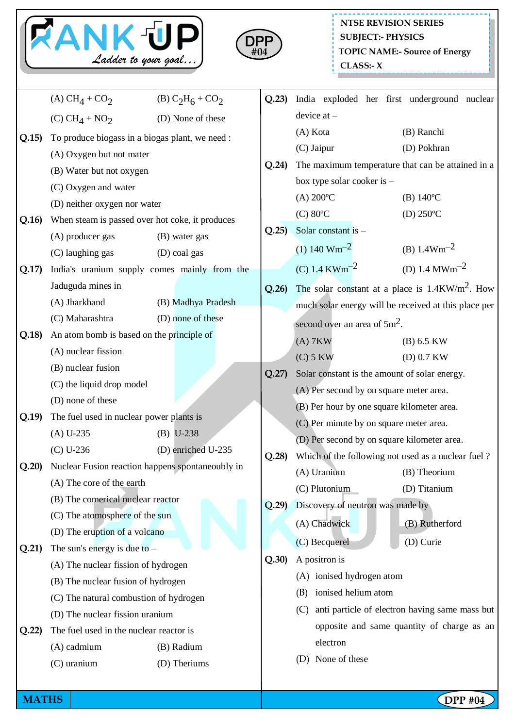



|       | (A) $CH_4 + CO_2$                                                               | (B) $C_2H_6 + CO_2$ | Q.23) |                                                        | India exploded her first underground nuclear         |  |
|-------|---------------------------------------------------------------------------------|---------------------|-------|--------------------------------------------------------|------------------------------------------------------|--|
|       | (C) $CH_4 + NO_2$                                                               | (D) None of these   |       | device $at -$                                          |                                                      |  |
| Q.15  | To produce biogass in a biogas plant, we need :                                 |                     |       | (A) Kota                                               | (B) Ranchi                                           |  |
|       | (A) Oxygen but not mater                                                        |                     |       | (C) Jaipur                                             | (D) Pokhran                                          |  |
|       | (B) Water but not oxygen                                                        |                     | Q.24  | The maximum temperature that can be attained in a      |                                                      |  |
|       | (C) Oxygen and water                                                            |                     |       | box type solar cooker is -                             |                                                      |  |
|       | (D) neither oxygen nor water<br>When steam is passed over hot coke, it produces |                     |       | $(A) 200^{\circ}C$                                     | $(B) 140^{\circ}C$                                   |  |
| Q.16  |                                                                                 |                     |       | $(C) 80$ <sup>o</sup> $C$                              | (D) $250^{\circ}$ C                                  |  |
|       | (A) producer gas<br>(B) water gas                                               |                     | Q.25  | Solar constant is -                                    |                                                      |  |
|       | (C) laughing gas                                                                | (D) coal gas        |       | $(1) 140 Wm^{-2}$                                      | (B) $1.4 \text{Wm}^{-2}$                             |  |
| Q.17  | India's uranium supply comes mainly from the                                    |                     |       | (C) 1.4 KWm <sup>-2</sup>                              | (D) 1.4 $MWm^{-2}$                                   |  |
|       | Jaduguda mines in                                                               |                     | Q.26  |                                                        | The solar constant at a place is $1.4KW/m^2$ . How   |  |
|       | (A) Jharkhand                                                                   | (B) Madhya Pradesh  |       |                                                        | much solar energy will be received at this place per |  |
| Q.18) | (C) Maharashtra                                                                 | (D) none of these   |       | second over an area of $5m^2$ .                        |                                                      |  |
|       | An atom bomb is based on the principle of                                       |                     |       | $(A)$ 7KW                                              | $(B)$ 6.5 KW                                         |  |
|       | (A) nuclear fission                                                             |                     |       | $(C)$ 5 KW                                             | $(D)$ 0.7 KW                                         |  |
|       | (B) nuclear fusion                                                              |                     | Q.27  |                                                        | Solar constant is the amount of solar energy.        |  |
|       | (C) the liquid drop model                                                       |                     |       |                                                        | (A) Per second by on square meter area.              |  |
|       | (D) none of these                                                               |                     |       |                                                        | (B) Per hour by one square kilometer area.           |  |
| Q.19  | The fuel used in nuclear power plants is                                        |                     |       | (C) Per minute by on square meter area.                |                                                      |  |
|       | $(A) U-235$                                                                     | $(B) U-238$         |       | (D) Per second by on square kilometer area.            |                                                      |  |
|       | $(C) U-236$                                                                     | (D) enriched U-235  | Q.28  |                                                        | Which of the following not used as a nuclear fuel?   |  |
| Q.20  | Nuclear Fusion reaction happens spontaneoubly in<br>(A) The core of the earth   |                     |       |                                                        | (A) Uranium (B) Theorium                             |  |
|       |                                                                                 |                     |       | (C) Plutonium                                          | (D) Titanium                                         |  |
|       | (B) The comerical nuclear reactor<br>(C) The atomosphere of the sun             |                     | Q.29  | Discovery of neutron was made by                       |                                                      |  |
|       |                                                                                 |                     |       | (A) Chadwick                                           | (B) Rutherford                                       |  |
|       | (D) The eruption of a volcano                                                   |                     |       | (C) Becquerel                                          | (D) Curie                                            |  |
| Q.21) | The sun's energy is due to $-$                                                  |                     | Q.30  | A positron is                                          |                                                      |  |
|       | (A) The nuclear fission of hydrogen                                             |                     |       | (A) ionised hydrogen atom                              |                                                      |  |
|       | (B) The nuclear fusion of hydrogen                                              |                     |       | ionised helium atom<br>(B)                             |                                                      |  |
|       | (C) The natural combustion of hydrogen                                          |                     |       | anti particle of electron having same mass but<br>(C)  |                                                      |  |
|       | (D) The nuclear fission uranium                                                 |                     |       | opposite and same quantity of charge as an<br>electron |                                                      |  |
| Q.22) | The fuel used in the nuclear reactor is                                         |                     |       |                                                        |                                                      |  |
|       | (A) cadmium                                                                     | (B) Radium          |       | None of these<br>(D)                                   |                                                      |  |
|       | (C) uranium                                                                     | (D) Theriums        |       |                                                        |                                                      |  |
|       |                                                                                 |                     |       |                                                        |                                                      |  |